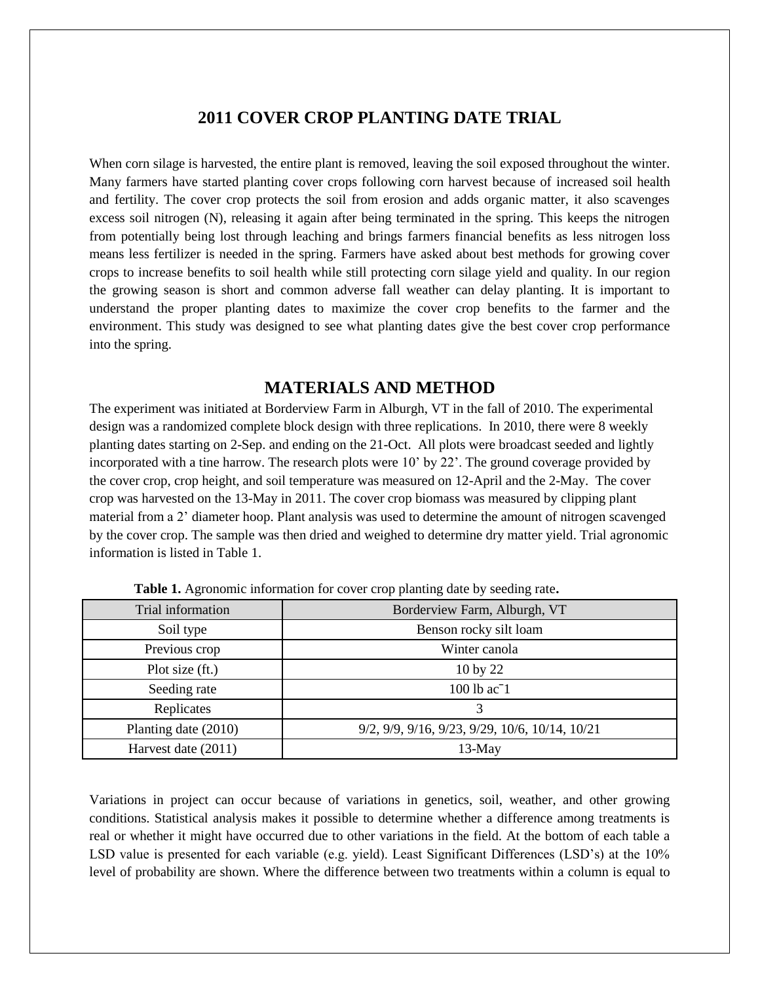## **2011 COVER CROP PLANTING DATE TRIAL**

When corn silage is harvested, the entire plant is removed, leaving the soil exposed throughout the winter. Many farmers have started planting cover crops following corn harvest because of increased soil health and fertility. The cover crop protects the soil from erosion and adds organic matter, it also scavenges excess soil nitrogen (N), releasing it again after being terminated in the spring. This keeps the nitrogen from potentially being lost through leaching and brings farmers financial benefits as less nitrogen loss means less fertilizer is needed in the spring. Farmers have asked about best methods for growing cover crops to increase benefits to soil health while still protecting corn silage yield and quality. In our region the growing season is short and common adverse fall weather can delay planting. It is important to understand the proper planting dates to maximize the cover crop benefits to the farmer and the environment. This study was designed to see what planting dates give the best cover crop performance into the spring.

## **MATERIALS AND METHOD**

The experiment was initiated at Borderview Farm in Alburgh, VT in the fall of 2010. The experimental design was a randomized complete block design with three replications. In 2010, there were 8 weekly planting dates starting on 2-Sep. and ending on the 21-Oct. All plots were broadcast seeded and lightly incorporated with a tine harrow. The research plots were 10' by 22'. The ground coverage provided by the cover crop, crop height, and soil temperature was measured on 12-April and the 2-May. The cover crop was harvested on the 13-May in 2011. The cover crop biomass was measured by clipping plant material from a 2' diameter hoop. Plant analysis was used to determine the amount of nitrogen scavenged by the cover crop. The sample was then dried and weighed to determine dry matter yield. Trial agronomic information is listed in Table 1.

| Trial information    | Borderview Farm, Alburgh, VT                   |
|----------------------|------------------------------------------------|
| Soil type            | Benson rocky silt loam                         |
| Previous crop        | Winter canola                                  |
| Plot size (ft.)      | 10 by 22                                       |
| Seeding rate         | 100 lb ac <sup>-1</sup>                        |
| Replicates           | 3                                              |
| Planting date (2010) | 9/2, 9/9, 9/16, 9/23, 9/29, 10/6, 10/14, 10/21 |
| Harvest date (2011)  | $13-May$                                       |

**Table 1.** Agronomic information for cover crop planting date by seeding rate**.**

Variations in project can occur because of variations in genetics, soil, weather, and other growing conditions. Statistical analysis makes it possible to determine whether a difference among treatments is real or whether it might have occurred due to other variations in the field. At the bottom of each table a LSD value is presented for each variable (e.g. yield). Least Significant Differences (LSD's) at the 10% level of probability are shown. Where the difference between two treatments within a column is equal to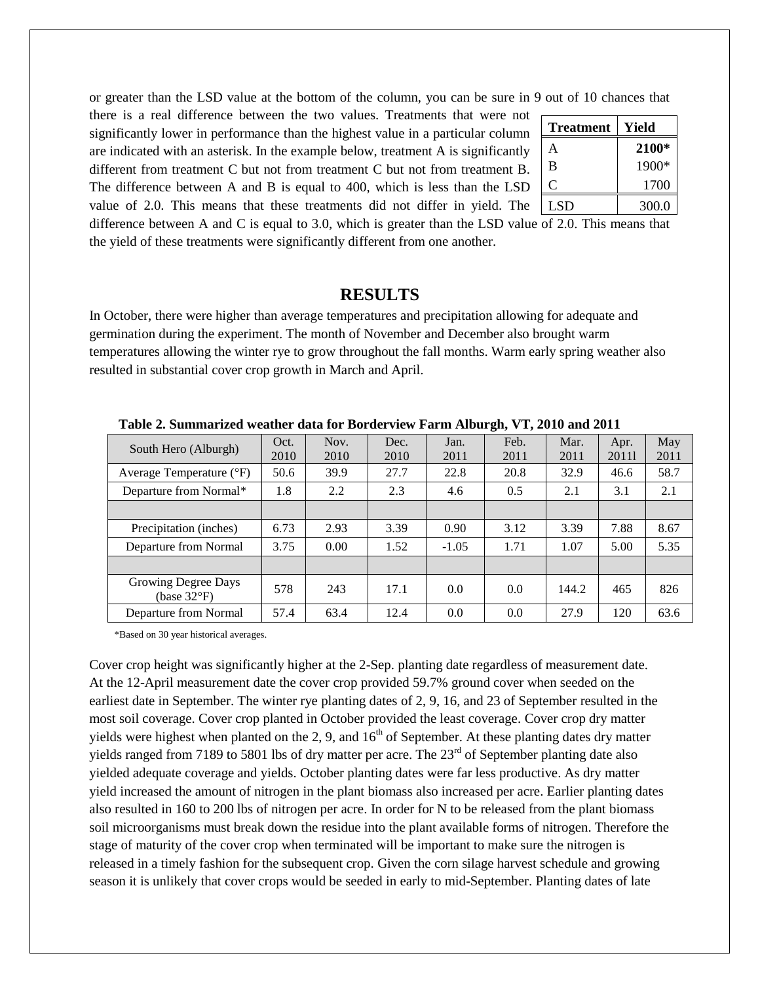or greater than the LSD value at the bottom of the column, you can be sure in 9 out of 10 chances that

there is a real difference between the two values. Treatments that were not significantly lower in performance than the highest value in a particular column are indicated with an asterisk. In the example below, treatment A is significantly different from treatment C but not from treatment C but not from treatment B. The difference between A and B is equal to 400, which is less than the LSD value of 2.0. This means that these treatments did not differ in yield. The

| <b>Treatment</b> | Yield |
|------------------|-------|
| А                | 2100* |
| B                | 1900* |
| C                | 1700  |
| LSD              | 300.0 |

difference between A and C is equal to 3.0, which is greater than the LSD value of 2.0. This means that the yield of these treatments were significantly different from one another.

## **RESULTS**

In October, there were higher than average temperatures and precipitation allowing for adequate and germination during the experiment. The month of November and December also brought warm temperatures allowing the winter rye to grow throughout the fall months. Warm early spring weather also resulted in substantial cover crop growth in March and April.

|                                              |              |              |              |              | ------       |              |               |             |
|----------------------------------------------|--------------|--------------|--------------|--------------|--------------|--------------|---------------|-------------|
| South Hero (Alburgh)                         | Oct.<br>2010 | Nov.<br>2010 | Dec.<br>2010 | Jan.<br>2011 | Feb.<br>2011 | Mar.<br>2011 | Apr.<br>20111 | May<br>2011 |
| Average Temperature (°F)                     | 50.6         | 39.9         | 27.7         | 22.8         | 20.8         | 32.9         | 46.6          | 58.7        |
| Departure from Normal*                       | 1.8          | 2.2          | 2.3          | 4.6          | 0.5          | 2.1          | 3.1           | 2.1         |
|                                              |              |              |              |              |              |              |               |             |
| Precipitation (inches)                       | 6.73         | 2.93         | 3.39         | 0.90         | 3.12         | 3.39         | 7.88          | 8.67        |
| Departure from Normal                        | 3.75         | 0.00         | 1.52         | $-1.05$      | 1.71         | 1.07         | 5.00          | 5.35        |
|                                              |              |              |              |              |              |              |               |             |
| Growing Degree Days<br>(base $32^{\circ}F$ ) | 578          | 243          | 17.1         | 0.0          | 0.0          | 144.2        | 465           | 826         |
| Departure from Normal                        | 57.4         | 63.4         | 12.4         | 0.0          | 0.0          | 27.9         | 120           | 63.6        |

 **Table 2. Summarized weather data for Borderview Farm Alburgh, VT, 2010 and 2011**

\*Based on 30 year historical averages.

Cover crop height was significantly higher at the 2-Sep. planting date regardless of measurement date. At the 12-April measurement date the cover crop provided 59.7% ground cover when seeded on the earliest date in September. The winter rye planting dates of 2, 9, 16, and 23 of September resulted in the most soil coverage. Cover crop planted in October provided the least coverage. Cover crop dry matter yields were highest when planted on the 2, 9, and  $16<sup>th</sup>$  of September. At these planting dates dry matter yields ranged from 7189 to 5801 lbs of dry matter per acre. The  $23<sup>rd</sup>$  of September planting date also yielded adequate coverage and yields. October planting dates were far less productive. As dry matter yield increased the amount of nitrogen in the plant biomass also increased per acre. Earlier planting dates also resulted in 160 to 200 lbs of nitrogen per acre. In order for N to be released from the plant biomass soil microorganisms must break down the residue into the plant available forms of nitrogen. Therefore the stage of maturity of the cover crop when terminated will be important to make sure the nitrogen is released in a timely fashion for the subsequent crop. Given the corn silage harvest schedule and growing season it is unlikely that cover crops would be seeded in early to mid-September. Planting dates of late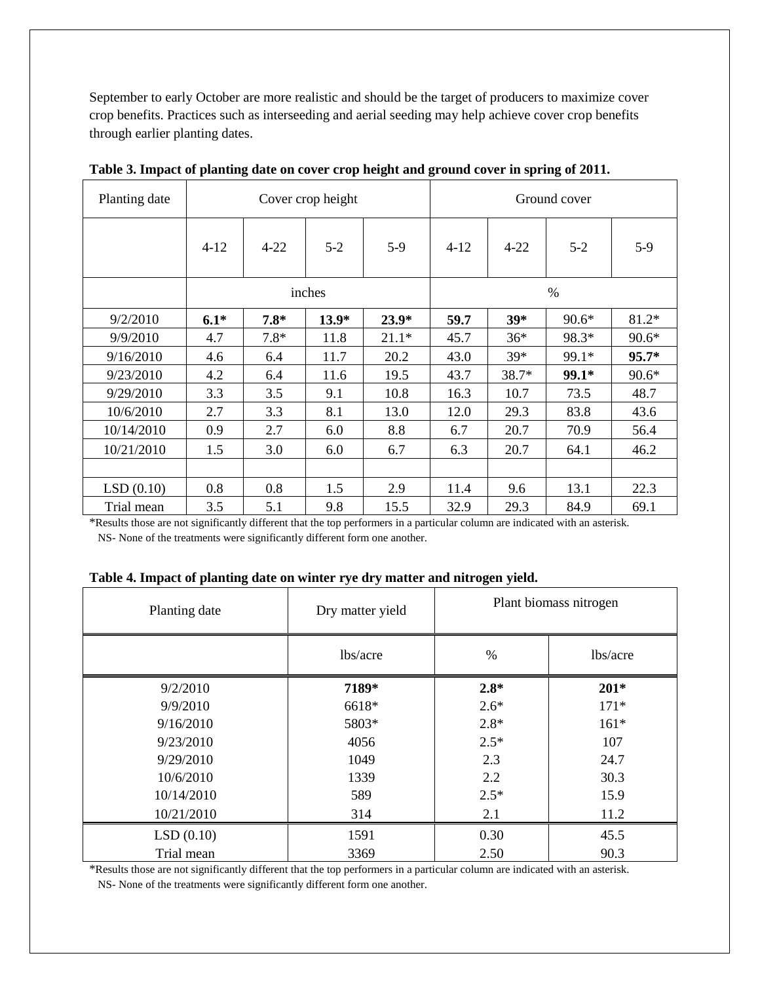September to early October are more realistic and should be the target of producers to maximize cover crop benefits. Practices such as interseeding and aerial seeding may help achieve cover crop benefits through earlier planting dates.

| Planting date | Cover crop height |          |         | Ground cover |          |          |         |         |
|---------------|-------------------|----------|---------|--------------|----------|----------|---------|---------|
|               | $4-12$            | $4 - 22$ | $5 - 2$ | $5-9$        | $4 - 12$ | $4 - 22$ | $5 - 2$ | $5-9$   |
|               | inches            |          |         | $\%$         |          |          |         |         |
| 9/2/2010      | $6.1*$            | $7.8*$   | $13.9*$ | $23.9*$      | 59.7     | $39*$    | $90.6*$ | 81.2*   |
| 9/9/2010      | 4.7               | $7.8*$   | 11.8    | $21.1*$      | 45.7     | $36*$    | 98.3*   | $90.6*$ |
| 9/16/2010     | 4.6               | 6.4      | 11.7    | 20.2         | 43.0     | $39*$    | 99.1*   | $95.7*$ |
| 9/23/2010     | 4.2               | 6.4      | 11.6    | 19.5         | 43.7     | 38.7*    | 99.1*   | $90.6*$ |
| 9/29/2010     | 3.3               | 3.5      | 9.1     | 10.8         | 16.3     | 10.7     | 73.5    | 48.7    |
| 10/6/2010     | 2.7               | 3.3      | 8.1     | 13.0         | 12.0     | 29.3     | 83.8    | 43.6    |
| 10/14/2010    | 0.9               | 2.7      | 6.0     | 8.8          | 6.7      | 20.7     | 70.9    | 56.4    |
| 10/21/2010    | 1.5               | 3.0      | 6.0     | 6.7          | 6.3      | 20.7     | 64.1    | 46.2    |
|               |                   |          |         |              |          |          |         |         |
| LSD(0.10)     | 0.8               | 0.8      | 1.5     | 2.9          | 11.4     | 9.6      | 13.1    | 22.3    |
| Trial mean    | 3.5               | 5.1      | 9.8     | 15.5         | 32.9     | 29.3     | 84.9    | 69.1    |

**Table 3. Impact of planting date on cover crop height and ground cover in spring of 2011.**

\*Results those are not significantly different that the top performers in a particular column are indicated with an asterisk. NS- None of the treatments were significantly different form one another.

|  | Table 4. Impact of planting date on winter rye dry matter and nitrogen yield. |  |  |  |  |
|--|-------------------------------------------------------------------------------|--|--|--|--|
|--|-------------------------------------------------------------------------------|--|--|--|--|

| Planting date | Dry matter yield | Plant biomass nitrogen |          |
|---------------|------------------|------------------------|----------|
|               | lbs/acre         | $\%$                   | lbs/acre |
| 9/2/2010      | 7189*            | $2.8*$                 | $201*$   |
| 9/9/2010      | 6618*            | $2.6*$                 | $171*$   |
| 9/16/2010     | 5803*            | $2.8*$                 | $161*$   |
| 9/23/2010     | 4056             | $2.5*$                 | 107      |
| 9/29/2010     | 1049             | 2.3                    | 24.7     |
| 10/6/2010     | 1339             | 2.2                    | 30.3     |
| 10/14/2010    | 589              | $2.5*$                 | 15.9     |
| 10/21/2010    | 314              | 2.1                    | 11.2     |
| LSD(0.10)     | 1591             | 0.30                   | 45.5     |
| Trial mean    | 3369             | 2.50                   | 90.3     |

\*Results those are not significantly different that the top performers in a particular column are indicated with an asterisk. NS- None of the treatments were significantly different form one another.